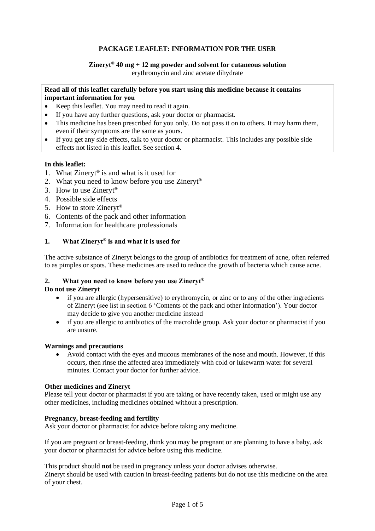# **PACKAGE LEAFLET: INFORMATION FOR THE USER**

# **Zineryt® 40 mg + 12 mg powder and solvent for cutaneous solution**

erythromycin and zinc acetate dihydrate

### **Read all of this leaflet carefully before you start using this medicine because it contains important information for you**

- Keep this leaflet. You may need to read it again.
- If you have any further questions, ask your doctor or pharmacist.
- This medicine has been prescribed for you only. Do not pass it on to others. It may harm them, even if their symptoms are the same as yours.
- If you get any side effects, talk to your doctor or pharmacist. This includes any possible side effects not listed in this leaflet. See section 4.

# **In this leaflet:**

- 1. What Zineryt**®** is and what is it used for
- 2. What you need to know before you use Zineryt**®**
- 3. How to use Zineryt**®**
- 4. Possible side effects
- 5. How to store Zineryt**®**
- 6. Contents of the pack and other information
- 7. Information for healthcare professionals

# **1. What Zineryt® is and what it is used for**

The active substance of Zineryt belongs to the group of antibiotics for treatment of acne, often referred to as pimples or spots. These medicines are used to reduce the growth of bacteria which cause acne.

# **2. What you need to know before you use Zineryt®**

## **Do not use Zineryt**

- if you are allergic (hypersensitive) to erythromycin, or zinc or to any of the other ingredients of Zineryt (see list in section 6 'Contents of the pack and other information'). Your doctor may decide to give you another medicine instead
- if you are allergic to antibiotics of the macrolide group. Ask your doctor or pharmacist if you are unsure.

#### **Warnings and precautions**

• Avoid contact with the eyes and mucous membranes of the nose and mouth. However, if this occurs, then rinse the affected area immediately with cold or lukewarm water for several minutes. Contact your doctor for further advice.

#### **Other medicines and Zineryt**

Please tell your doctor or pharmacist if you are taking or have recently taken, used or might use any other medicines, including medicines obtained without a prescription.

### **Pregnancy, breast-feeding and fertility**

Ask your doctor or pharmacist for advice before taking any medicine.

If you are pregnant or breast-feeding, think you may be pregnant or are planning to have a baby, ask your doctor or pharmacist for advice before using this medicine.

This product should **not** be used in pregnancy unless your doctor advises otherwise. Zineryt should be used with caution in breast-feeding patients but do not use this medicine on the area of your chest.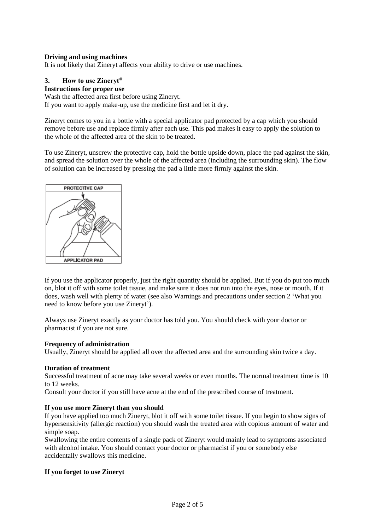## **Driving and using machines**

It is not likely that Zineryt affects your ability to drive or use machines.

# **3. How to use Zineryt®**

# **Instructions for proper use**

Wash the affected area first before using Zineryt.

If you want to apply make-up, use the medicine first and let it dry.

Zineryt comes to you in a bottle with a special applicator pad protected by a cap which you should remove before use and replace firmly after each use. This pad makes it easy to apply the solution to the whole of the affected area of the skin to be treated.

To use Zineryt, unscrew the protective cap, hold the bottle upside down, place the pad against the skin, and spread the solution over the whole of the affected area (including the surrounding skin). The flow of solution can be increased by pressing the pad a little more firmly against the skin.



If you use the applicator properly, just the right quantity should be applied. But if you do put too much on, blot it off with some toilet tissue, and make sure it does not run into the eyes, nose or mouth. If it does, wash well with plenty of water (see also Warnings and precautions under section 2 'What you need to know before you use Zineryt').

Always use Zineryt exactly as your doctor has told you. You should check with your doctor or pharmacist if you are not sure.

#### **Frequency of administration**

Usually, Zineryt should be applied all over the affected area and the surrounding skin twice a day.

#### **Duration of treatment**

Successful treatment of acne may take several weeks or even months. The normal treatment time is 10 to 12 weeks.

Consult your doctor if you still have acne at the end of the prescribed course of treatment.

#### **If you use more Zineryt than you should**

If you have applied too much Zineryt, blot it off with some toilet tissue. If you begin to show signs of hypersensitivity (allergic reaction) you should wash the treated area with copious amount of water and simple soap.

Swallowing the entire contents of a single pack of Zineryt would mainly lead to symptoms associated with alcohol intake. You should contact your doctor or pharmacist if you or somebody else accidentally swallows this medicine.

# **If you forget to use Zineryt**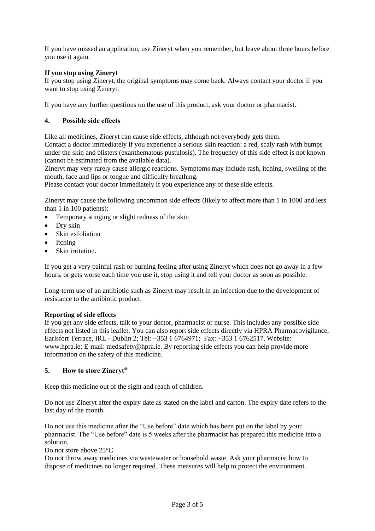If you have missed an application, use Zineryt when you remember, but leave about three hours before you use it again.

# **If you stop using Zineryt**

If you stop using Zineryt, the original symptoms may come back. Always contact your doctor if you want to stop using Zineryt.

If you have any further questions on the use of this product, ask your doctor or pharmacist.

# **4. Possible side effects**

Like all medicines, Zineryt can cause side effects, although not everybody gets them.

Contact a doctor immediately if you experience a serious skin reaction: a red, scaly rash with bumps under the skin and blisters (exanthematous pustulosis). The frequency of this side effect is not known (cannot be estimated from the available data).

Zineryt may very rarely cause allergic reactions. Symptoms may include rash, itching, swelling of the mouth, face and lips or tongue and difficulty breathing.

Please contact your doctor immediately if you experience any of these side effects.

Zineryt may cause the following uncommon side effects (likely to affect more than 1 in 1000 and less than 1 in 100 patients):

- Temporary stinging or slight redness of the skin
- Dry skin
- Skin exfoliation
- **Itching**
- Skin irritation.

If you get a very painful rash or burning feeling after using Zineryt which does not go away in a few hours, or gets worse each time you use it, stop using it and tell your doctor as soon as possible.

Long-term use of an antibiotic such as Zineryt may result in an infection due to the development of resistance to the antibiotic product.

# **Reporting of side effects**

If you get any side effects, talk to your doctor, pharmacist or nurse. This includes any possible side effects not listed in this leaflet. You can also report side effects directly via HPRA Pharmacovigilance, Earlsfort Terrace, IRL - Dublin 2; Tel: +353 1 6764971; Fax: +353 1 6762517. Website: www.hpra.ie; E-mail: medsafety@hpra.ie. By reporting side effects you can help provide more information on the safety of this medicine.

# **5. How to store Zineryt®**

Keep this medicine out of the sight and reach of children.

Do not use Zineryt after the expiry date as stated on the label and carton. The expiry date refers to the last day of the month.

Do not use this medicine after the "Use before" date which has been put on the label by your pharmacist. The "Use before" date is 5 weeks after the pharmacist has prepared this medicine into a solution.

Do not store above 25°C.

Do not throw away medicines via wastewater or household waste. Ask your pharmacist how to dispose of medicines no longer required. These measures will help to protect the environment.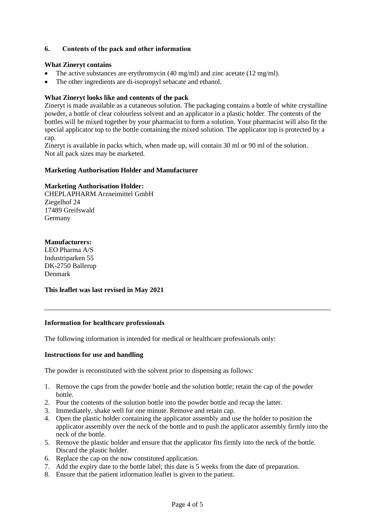## **6. Contents of the pack and other information**

#### **What Zineryt contains**

- The active substances are erythromycin (40 mg/ml) and zinc acetate (12 mg/ml).
- The other ingredients are di-isopropyl sebacate and ethanol.

## **What Zineryt looks like and contents of the pack**

Zineryt is made available as a cutaneous solution. The packaging contains a bottle of white crystalline powder, a bottle of clear colourless solvent and an applicator in a plastic holder. The contents of the bottles will be mixed together by your pharmacist to form a solution. Your pharmacist will also fit the special applicator top to the bottle containing the mixed solution. The applicator top is protected by a cap.

Zineryt is available in packs which, when made up, will contain 30 ml or 90 ml of the solution. Not all pack sizes may be marketed.

#### **Marketing Authorisation Holder and Manufacturer**

## **Marketing Authorisation Holder:**

CHEPLAPHARM Arzneimittel GmbH Ziegelhof 24 17489 Greifswald Germany

## **Manufacturers:**

LEO Pharma A/S Industriparken 55 DK-2750 Ballerup Denmark

**This leaflet was last revised in May 2021**

## **Information for healthcare professionals**

The following information is intended for medical or healthcare professionals only:

#### **Instructions for use and handling**

The powder is reconstituted with the solvent prior to dispensing as follows:

- 1. Remove the caps from the powder bottle and the solution bottle; retain the cap of the powder bottle.
- 2. Pour the contents of the solution bottle into the powder bottle and recap the latter.
- 3. Immediately, shake well for one minute. Remove and retain cap.
- 4. Open the plastic holder containing the applicator assembly and use the holder to position the applicator assembly over the neck of the bottle and to push the applicator assembly firmly into the neck of the bottle.
- 5. Remove the plastic holder and ensure that the applicator fits firmly into the neck of the bottle. Discard the plastic holder.
- 6. Replace the cap on the now constituted application.
- 7. Add the expiry date to the bottle label; this date is 5 weeks from the date of preparation.
- 8. Ensure that the patient information leaflet is given to the patient.